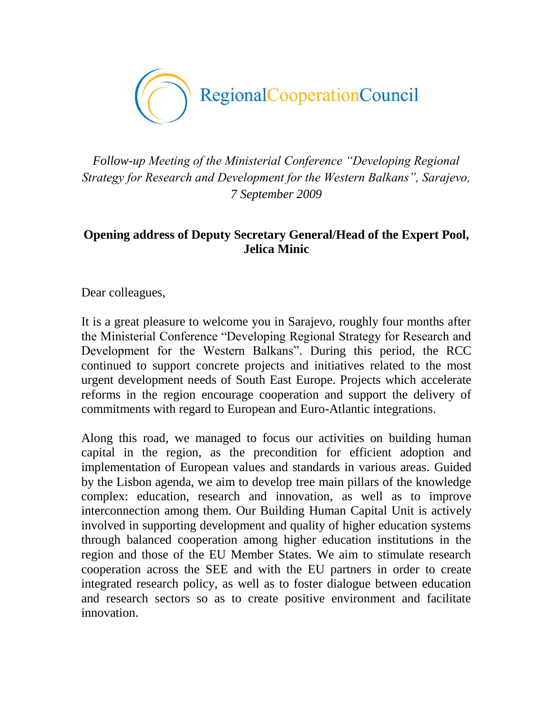

*Follow-up Meeting of the Ministerial Conference "Developing Regional Strategy for Research and Development for the Western Balkans", Sarajevo, 7 September 2009*

## **Opening address of Deputy Secretary General/Head of the Expert Pool, Jelica Minic**

Dear colleagues,

It is a great pleasure to welcome you in Sarajevo, roughly four months after the Ministerial Conference "Developing Regional Strategy for Research and Development for the Western Balkans". During this period, the RCC continued to support concrete projects and initiatives related to the most urgent development needs of South East Europe. Projects which accelerate reforms in the region encourage cooperation and support the delivery of commitments with regard to European and Euro-Atlantic integrations.

Along this road, we managed to focus our activities on building human capital in the region, as the precondition for efficient adoption and implementation of European values and standards in various areas. Guided by the Lisbon agenda, we aim to develop tree main pillars of the knowledge complex: education, research and innovation, as well as to improve interconnection among them. Our Building Human Capital Unit is actively involved in supporting development and quality of higher education systems through balanced cooperation among higher education institutions in the region and those of the EU Member States. We aim to stimulate research cooperation across the SEE and with the EU partners in order to create integrated research policy, as well as to foster dialogue between education and research sectors so as to create positive environment and facilitate innovation.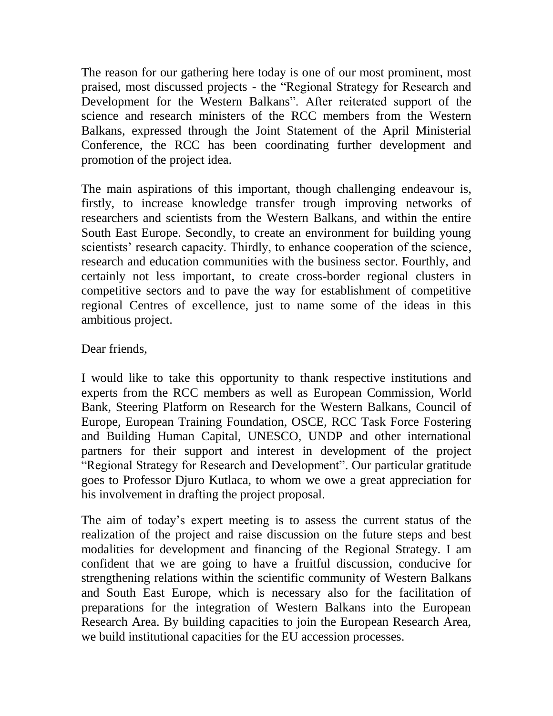The reason for our gathering here today is one of our most prominent, most praised, most discussed projects - the "Regional Strategy for Research and Development for the Western Balkans". After reiterated support of the science and research ministers of the RCC members from the Western Balkans, expressed through the Joint Statement of the April Ministerial Conference, the RCC has been coordinating further development and promotion of the project idea.

The main aspirations of this important, though challenging endeavour is, firstly, to increase knowledge transfer trough improving networks of researchers and scientists from the Western Balkans, and within the entire South East Europe. Secondly, to create an environment for building young scientists' research capacity. Thirdly, to enhance cooperation of the science, research and education communities with the business sector. Fourthly, and certainly not less important, to create cross-border regional clusters in competitive sectors and to pave the way for establishment of competitive regional Centres of excellence, just to name some of the ideas in this ambitious project.

## Dear friends,

I would like to take this opportunity to thank respective institutions and experts from the RCC members as well as European Commission, World Bank, Steering Platform on Research for the Western Balkans, Council of Europe, European Training Foundation, OSCE, RCC Task Force Fostering and Building Human Capital, UNESCO, UNDP and other international partners for their support and interest in development of the project "Regional Strategy for Research and Development". Our particular gratitude goes to Professor Djuro Kutlaca, to whom we owe a great appreciation for his involvement in drafting the project proposal.

The aim of today's expert meeting is to assess the current status of the realization of the project and raise discussion on the future steps and best modalities for development and financing of the Regional Strategy. I am confident that we are going to have a fruitful discussion, conducive for strengthening relations within the scientific community of Western Balkans and South East Europe, which is necessary also for the facilitation of preparations for the integration of Western Balkans into the European Research Area. By building capacities to join the European Research Area, we build institutional capacities for the EU accession processes.